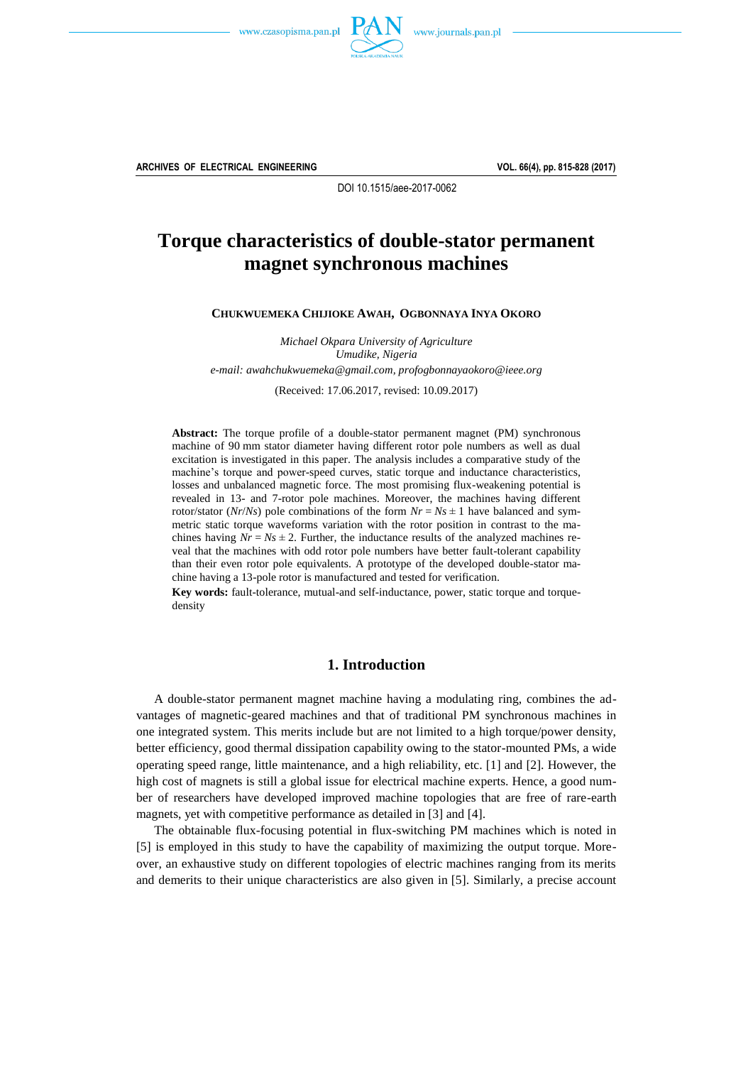



**ARCHIVES OF ELECTRICAL ENGINEERING VOL. 66(4), pp. 815-828 (2017)**

DOI 10.1515/aee-2017-0062

# **Torque characteristics of double-stator permanent magnet synchronous machines**

**CHUKWUEMEKA CHIJIOKE AWAH, OGBONNAYA INYA OKORO**

*Michael Okpara University of Agriculture Umudike, Nigeria e-mail: [awahchukwuemeka@gmail.com,](mailto:awahchukwuemeka@gmail.com?Subject=AEE-00501-2017-02) [profogbonnayaokoro@ieee.org](mailto:profogbonnayaokoro@ieee.org)*

(Received: 17.06.2017, revised: 10.09.2017)

**Abstract:** The torque profile of a double-stator permanent magnet (PM) synchronous machine of 90 mm stator diameter having different rotor pole numbers as well as dual excitation is investigated in this paper. The analysis includes a comparative study of the machine's torque and power-speed curves, static torque and inductance characteristics, losses and unbalanced magnetic force. The most promising flux-weakening potential is revealed in 13- and 7-rotor pole machines. Moreover, the machines having different rotor/stator ( $Nr/Ns$ ) pole combinations of the form  $Nr = Ns \pm 1$  have balanced and symmetric static torque waveforms variation with the rotor position in contrast to the machines having  $Nr = Ns \pm 2$ . Further, the inductance results of the analyzed machines reveal that the machines with odd rotor pole numbers have better fault-tolerant capability than their even rotor pole equivalents. A prototype of the developed double-stator machine having a 13-pole rotor is manufactured and tested for verification.

**Key words:** fault-tolerance, mutual-and self-inductance, power, static torque and torquedensity

## **1. Introduction**

A double-stator permanent magnet machine having a modulating ring, combines the advantages of magnetic-geared machines and that of traditional PM synchronous machines in one integrated system. This merits include but are not limited to a high torque/power density, better efficiency, good thermal dissipation capability owing to the stator-mounted PMs, a wide operating speed range, little maintenance, and a high reliability, etc. [1] and [2]. However, the high cost of magnets is still a global issue for electrical machine experts. Hence, a good number of researchers have developed improved machine topologies that are free of rare-earth magnets, yet with competitive performance as detailed in [3] and [4].

The obtainable flux-focusing potential in flux-switching PM machines which is noted in [5] is employed in this study to have the capability of maximizing the output torque. Moreover, an exhaustive study on different topologies of electric machines ranging from its merits and demerits to their unique characteristics are also given in [5]. Similarly, a precise account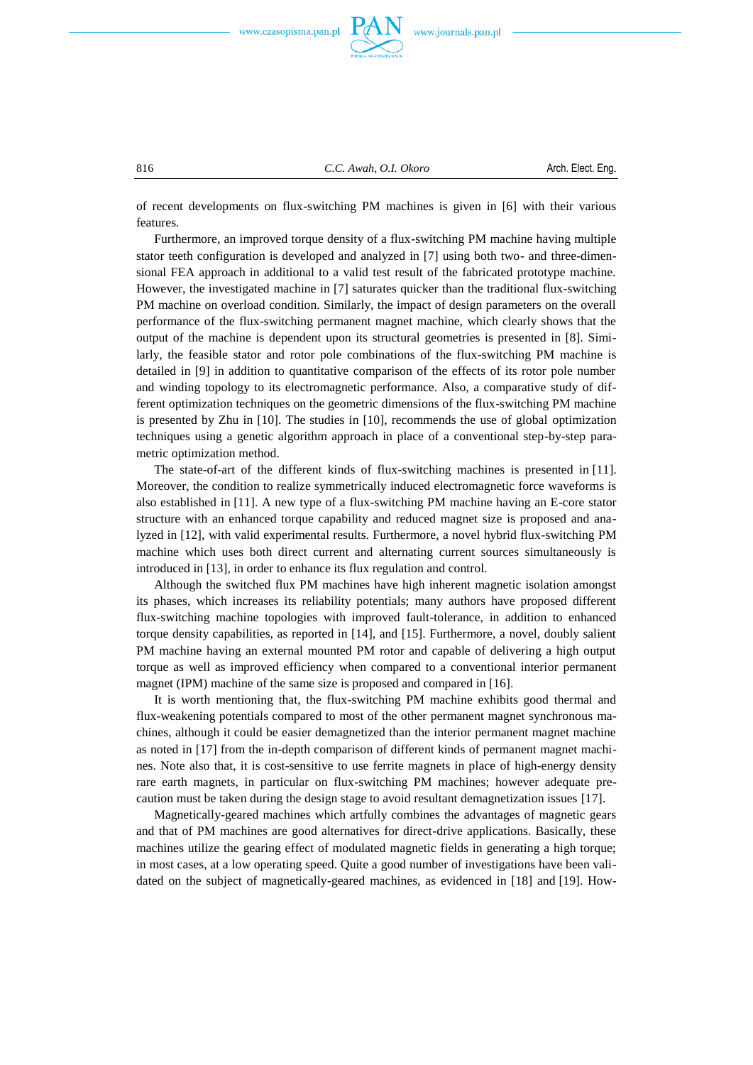

816 *C.C. Awah, O.I. Okoro* Arch. Elect. Eng.

of recent developments on flux-switching PM machines is given in [6] with their various features.

Furthermore, an improved torque density of a flux-switching PM machine having multiple stator teeth configuration is developed and analyzed in [7] using both two- and three-dimensional FEA approach in additional to a valid test result of the fabricated prototype machine. However, the investigated machine in [7] saturates quicker than the traditional flux-switching PM machine on overload condition. Similarly, the impact of design parameters on the overall performance of the flux-switching permanent magnet machine, which clearly shows that the output of the machine is dependent upon its structural geometries is presented in [8]. Similarly, the feasible stator and rotor pole combinations of the flux-switching PM machine is detailed in [9] in addition to quantitative comparison of the effects of its rotor pole number and winding topology to its electromagnetic performance. Also, a comparative study of different optimization techniques on the geometric dimensions of the flux-switching PM machine is presented by Zhu in [10]. The studies in [10], recommends the use of global optimization techniques using a genetic algorithm approach in place of a conventional step-by-step parametric optimization method.

The state-of-art of the different kinds of flux-switching machines is presented in [11]. Moreover, the condition to realize symmetrically induced electromagnetic force waveforms is also established in [11]. A new type of a flux-switching PM machine having an E-core stator structure with an enhanced torque capability and reduced magnet size is proposed and analyzed in [12], with valid experimental results. Furthermore, a novel hybrid flux-switching PM machine which uses both direct current and alternating current sources simultaneously is introduced in [13], in order to enhance its flux regulation and control.

Although the switched flux PM machines have high inherent magnetic isolation amongst its phases, which increases its reliability potentials; many authors have proposed different flux-switching machine topologies with improved fault-tolerance, in addition to enhanced torque density capabilities, as reported in [14], and [15]. Furthermore, a novel, doubly salient PM machine having an external mounted PM rotor and capable of delivering a high output torque as well as improved efficiency when compared to a conventional interior permanent magnet (IPM) machine of the same size is proposed and compared in [16].

It is worth mentioning that, the flux-switching PM machine exhibits good thermal and flux-weakening potentials compared to most of the other permanent magnet synchronous machines, although it could be easier demagnetized than the interior permanent magnet machine as noted in [17] from the in-depth comparison of different kinds of permanent magnet machines. Note also that, it is cost-sensitive to use ferrite magnets in place of high-energy density rare earth magnets, in particular on flux-switching PM machines; however adequate precaution must be taken during the design stage to avoid resultant demagnetization issues [17].

Magnetically-geared machines which artfully combines the advantages of magnetic gears and that of PM machines are good alternatives for direct-drive applications. Basically, these machines utilize the gearing effect of modulated magnetic fields in generating a high torque; in most cases, at a low operating speed. Quite a good number of investigations have been validated on the subject of magnetically-geared machines, as evidenced in [18] and [19]. How-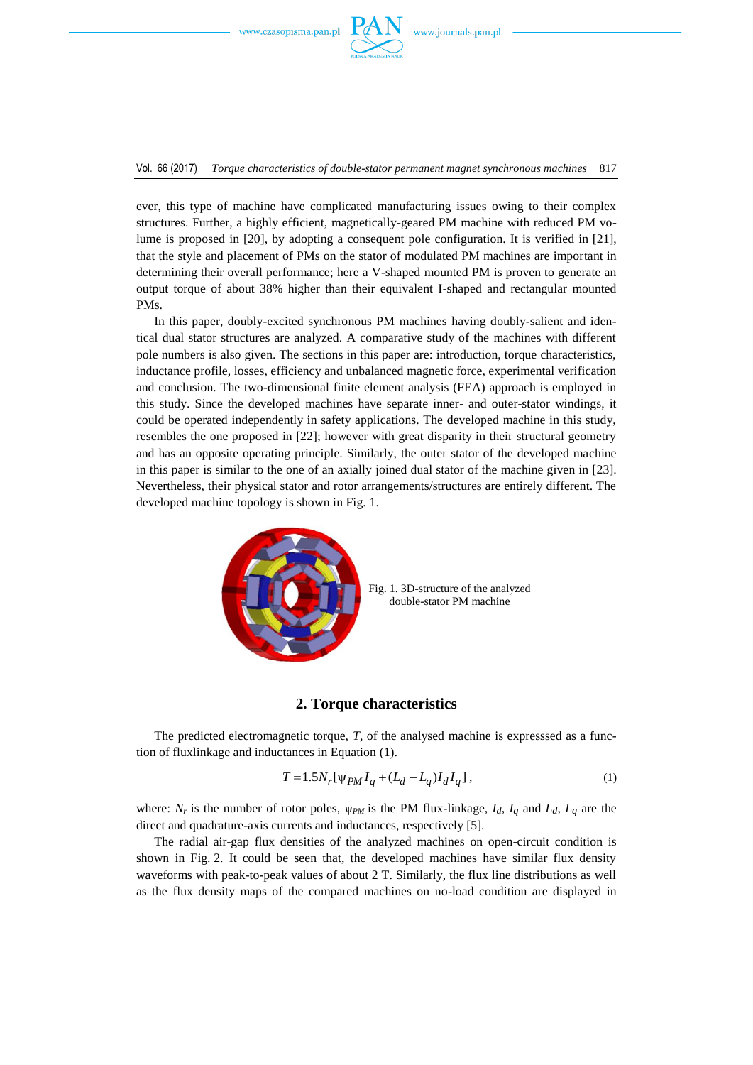

Vol. 66 (2017) *Torque characteristics of double-stator permanent magnet synchronous machines* 817

ever, this type of machine have complicated manufacturing issues owing to their complex structures. Further, a highly efficient, magnetically-geared PM machine with reduced PM volume is proposed in [20], by adopting a consequent pole configuration. It is verified in [21], that the style and placement of PMs on the stator of modulated PM machines are important in determining their overall performance; here a V-shaped mounted PM is proven to generate an output torque of about 38% higher than their equivalent I-shaped and rectangular mounted PMs.

In this paper, doubly-excited synchronous PM machines having doubly-salient and identical dual stator structures are analyzed. A comparative study of the machines with different pole numbers is also given. The sections in this paper are: introduction, torque characteristics, inductance profile, losses, efficiency and unbalanced magnetic force, experimental verification and conclusion. The two-dimensional finite element analysis (FEA) approach is employed in this study. Since the developed machines have separate inner- and outer-stator windings, it could be operated independently in safety applications. The developed machine in this study, resembles the one proposed in [22]; however with great disparity in their structural geometry and has an opposite operating principle. Similarly, the outer stator of the developed machine in this paper is similar to the one of an axially joined dual stator of the machine given in [23]. Nevertheless, their physical stator and rotor arrangements/structures are entirely different. The developed machine topology is shown in Fig. 1.



Fig. 1. 3D-structure of the analyzed double-stator PM machine

#### **2. Torque characteristics**

The predicted electromagnetic torque, *T*, of the analysed machine is expresssed as a function of fluxlinkage and inductances in Equation (1).

$$
T = 1.5N_r[\psi_{PM} I_q + (L_d - L_q)I_d I_q],
$$
\n(1)

where:  $N_r$  is the number of rotor poles,  $\psi_{PM}$  is the PM flux-linkage, *I<sub>d</sub>*, *I<sub>q</sub>* and *L<sub>d</sub>*, *L<sub>q</sub>* are the direct and quadrature-axis currents and inductances, respectively [5].

The radial air-gap flux densities of the analyzed machines on open-circuit condition is shown in Fig. 2. It could be seen that, the developed machines have similar flux density waveforms with peak-to-peak values of about 2 T. Similarly, the flux line distributions as well as the flux density maps of the compared machines on no-load condition are displayed in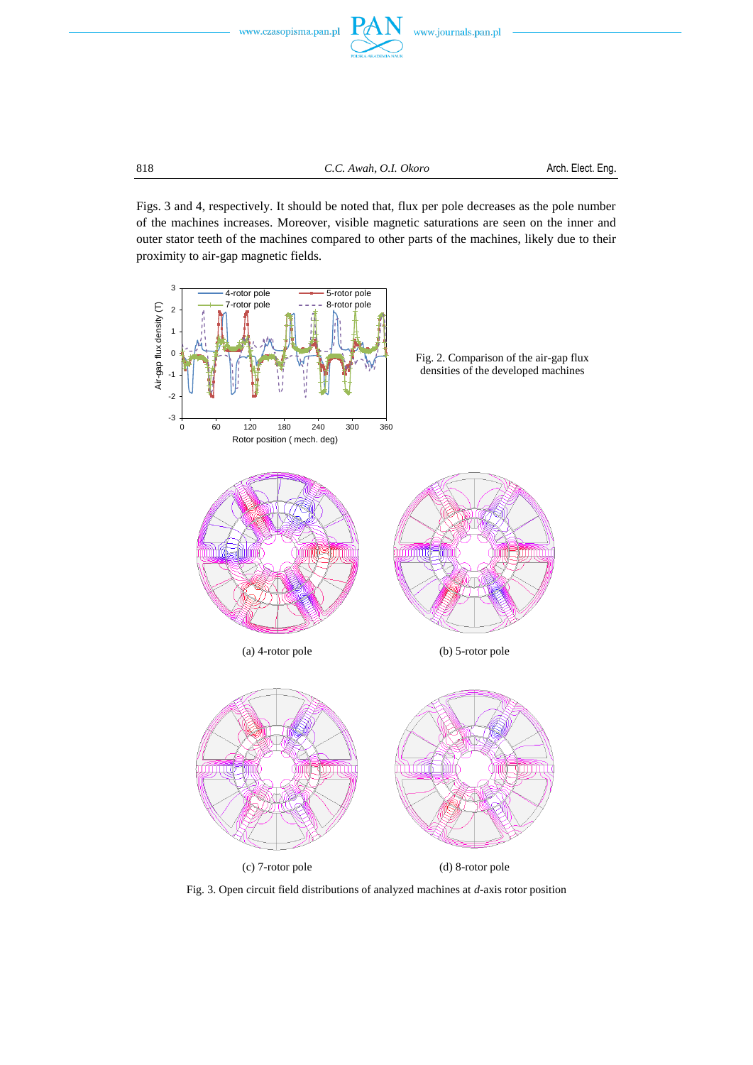

Figs. 3 and 4, respectively. It should be noted that, flux per pole decreases as the pole number of the machines increases. Moreover, visible magnetic saturations are seen on the inner and outer stator teeth of the machines compared to other parts of the machines, likely due to their proximity to air-gap magnetic fields.



Fig. 3. Open circuit field distributions of analyzed machines at *d*-axis rotor position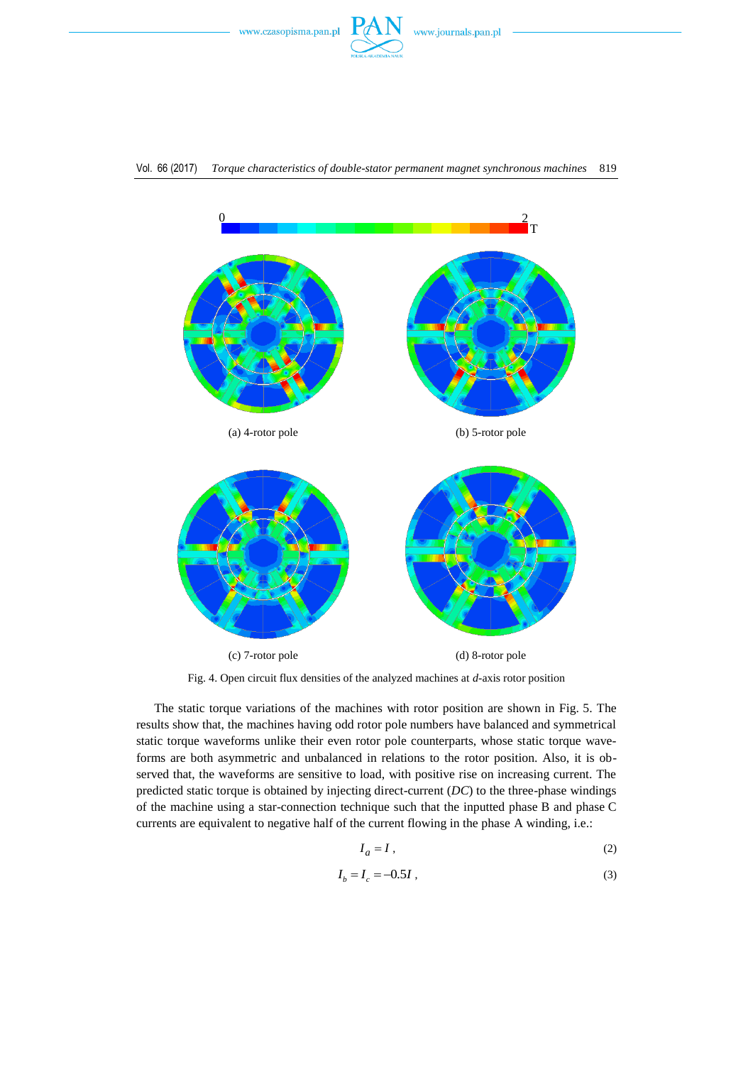



Fig. 4. Open circuit flux densities of the analyzed machines at *d*-axis rotor position

The static torque variations of the machines with rotor position are shown in Fig. 5. The results show that, the machines having odd rotor pole numbers have balanced and symmetrical static torque waveforms unlike their even rotor pole counterparts, whose static torque waveforms are both asymmetric and unbalanced in relations to the rotor position. Also, it is observed that, the waveforms are sensitive to load, with positive rise on increasing current. The predicted static torque is obtained by injecting direct-current (*DC*) to the three-phase windings of the machine using a star-connection technique such that the inputted phase B and phase C currents are equivalent to negative half of the current flowing in the phase A winding, i.e.:

$$
I_a = I \tag{2}
$$

$$
I_b = I_c = -0.5I , \t\t(3)
$$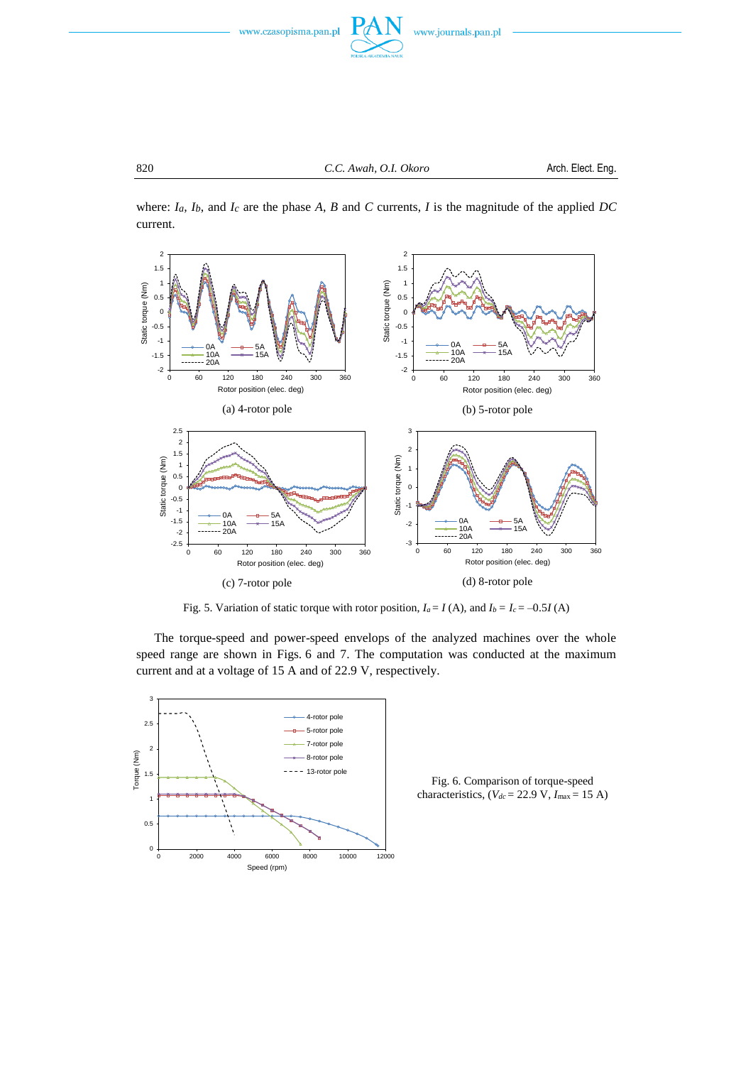

where:  $I_a$ ,  $I_b$ , and  $I_c$  are the phase  $A$ ,  $B$  and  $C$  currents,  $I$  is the magnitude of the applied  $DC$ current.



Fig. 5. Variation of static torque with rotor position,  $I_a = I(A)$ , and  $I_b = I_c = -0.5I(A)$ 

The torque-speed and power-speed envelops of the analyzed machines over the whole speed range are shown in Figs. 6 and 7. The computation was conducted at the maximum current and at a voltage of 15 A and of 22.9 V, respectively.



Fig. 6. Comparison of torque-speed characteristics,  $(V_{dc} = 22.9 \text{ V}, I_{\text{max}} = 15 \text{ A})$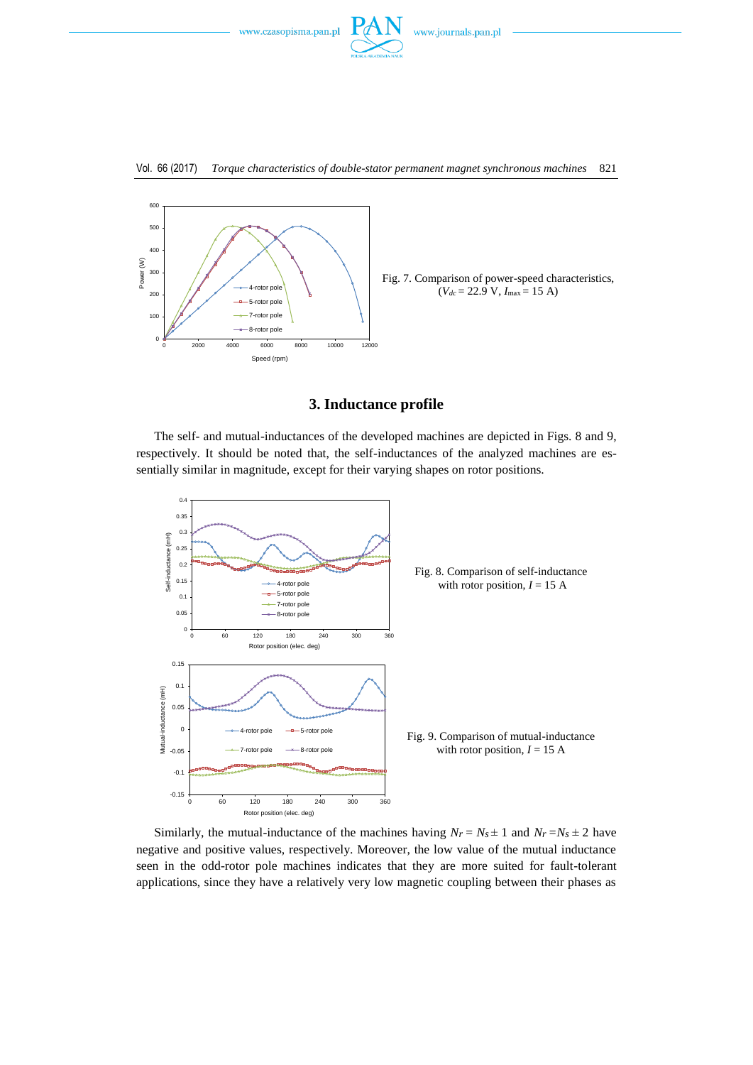



Fig. 7. Comparison of power-speed characteristics,  $(V_{dc} = 22.9 \text{ V}, I_{\text{max}} = 15 \text{ A})$ 

# **3. Inductance profile**

The self- and mutual-inductances of the developed machines are depicted in Figs. 8 and 9, respectively. It should be noted that, the self-inductances of the analyzed machines are essentially similar in magnitude, except for their varying shapes on rotor positions.



Similarly, the mutual-inductance of the machines having  $N_r = N_s \pm 1$  and  $N_r = N_s \pm 2$  have negative and positive values, respectively. Moreover, the low value of the mutual inductance seen in the odd-rotor pole machines indicates that they are more suited for fault-tolerant applications, since they have a relatively very low magnetic coupling between their phases as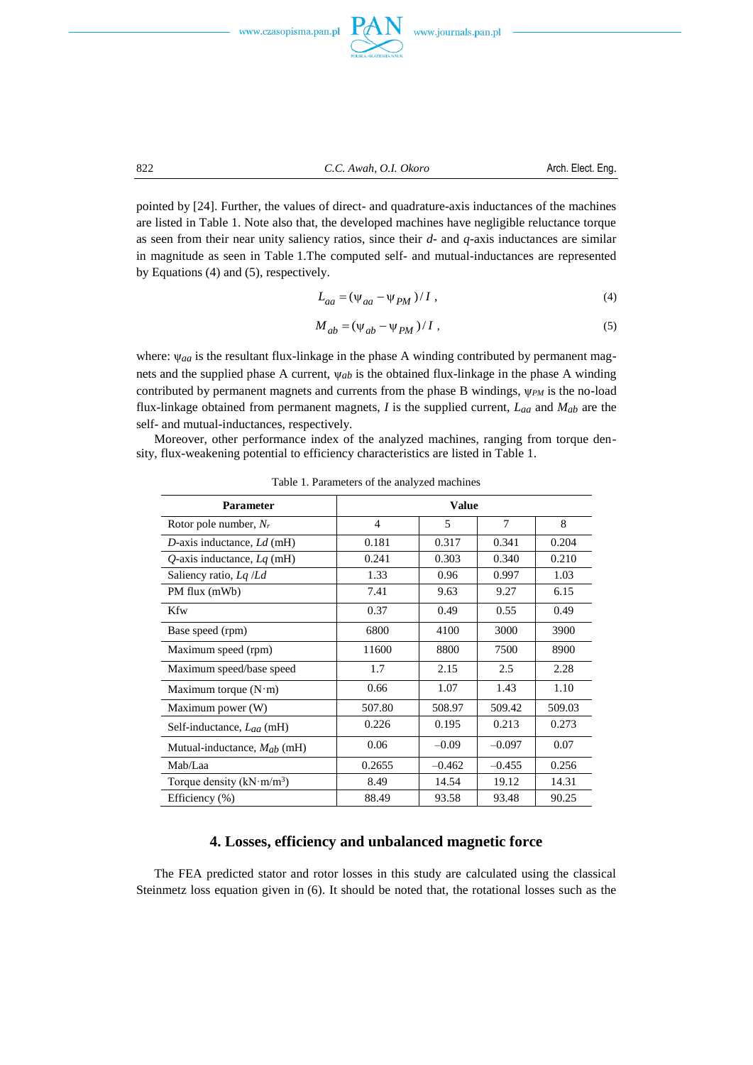



pointed by [24]. Further, the values of direct- and quadrature-axis inductances of the machines are listed in Table 1. Note also that, the developed machines have negligible reluctance torque as seen from their near unity saliency ratios, since their *d-* and *q-*axis inductances are similar in magnitude as seen in Table 1.The computed self- and mutual-inductances are represented by Equations (4) and (5), respectively.

$$
L_{aa} = (\psi_{aa} - \psi_{PM})/I,
$$
\n(4)

$$
M_{ab} = (\psi_{ab} - \psi_{PM})/I , \qquad (5)
$$

where:  $\psi_{aa}$  is the resultant flux-linkage in the phase A winding contributed by permanent magnets and the supplied phase A current, ψ*ab* is the obtained flux-linkage in the phase A winding contributed by permanent magnets and currents from the phase B windings,  $\psi_{PM}$  is the no-load flux-linkage obtained from permanent magnets, *I* is the supplied current, *Laa* and *Mab* are the self- and mutual-inductances, respectively.

Moreover, other performance index of the analyzed machines, ranging from torque density, flux-weakening potential to efficiency characteristics are listed in Table 1.

| <b>Parameter</b>                 | <b>Value</b>   |          |          |        |
|----------------------------------|----------------|----------|----------|--------|
| Rotor pole number, $N_r$         | $\overline{4}$ | 5        | 7        | 8      |
| D-axis inductance, Ld (mH)       | 0.181          | 0.317    | 0.341    | 0.204  |
| $Q$ -axis inductance, $Lq$ (mH)  | 0.241          | 0.303    | 0.340    | 0.210  |
| Saliency ratio, $Lq/Ld$          | 1.33           | 0.96     | 0.997    | 1.03   |
| PM flux (mWb)                    | 7.41           | 9.63     | 9.27     | 6.15   |
| Kfw                              | 0.37           | 0.49     | 0.55     | 0.49   |
| Base speed (rpm)                 | 6800           | 4100     | 3000     | 3900   |
| Maximum speed (rpm)              | 11600          | 8800     | 7500     | 8900   |
| Maximum speed/base speed         | 1.7            | 2.15     | 2.5      | 2.28   |
| Maximum torque $(N \cdot m)$     | 0.66           | 1.07     | 1.43     | 1.10   |
| Maximum power (W)                | 507.80         | 508.97   | 509.42   | 509.03 |
| Self-inductance, Laa (mH)        | 0.226          | 0.195    | 0.213    | 0.273  |
| Mutual-inductance, $M_{ab}$ (mH) | 0.06           | $-0.09$  | $-0.097$ | 0.07   |
| Mab/Laa                          | 0.2655         | $-0.462$ | $-0.455$ | 0.256  |
| Torque density $(kN·m/m3)$       | 8.49           | 14.54    | 19.12    | 14.31  |
| Efficiency $(\% )$               | 88.49          | 93.58    | 93.48    | 90.25  |

Table 1. Parameters of the analyzed machines

# **4. Losses, efficiency and unbalanced magnetic force**

The FEA predicted stator and rotor losses in this study are calculated using the classical Steinmetz loss equation given in (6). It should be noted that, the rotational losses such as the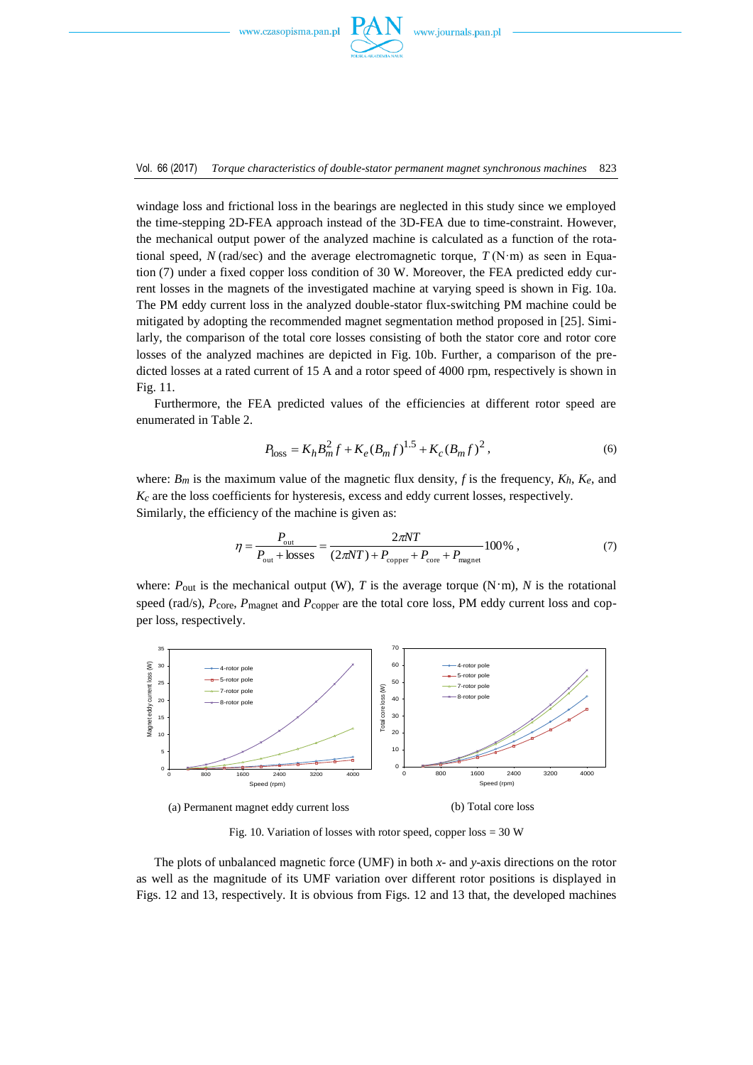

Vol. 66 (2017) *Torque characteristics of double-stator permanent magnet synchronous machines* 823

windage loss and frictional loss in the bearings are neglected in this study since we employed the time-stepping 2D-FEA approach instead of the 3D-FEA due to time-constraint. However, the mechanical output power of the analyzed machine is calculated as a function of the rotational speed,  $N$  (rad/sec) and the average electromagnetic torque,  $T(N \cdot m)$  as seen in Equation (7) under a fixed copper loss condition of 30 W. Moreover, the FEA predicted eddy current losses in the magnets of the investigated machine at varying speed is shown in Fig. 10a. The PM eddy current loss in the analyzed double-stator flux-switching PM machine could be mitigated by adopting the recommended magnet segmentation method proposed in [25]. Similarly, the comparison of the total core losses consisting of both the stator core and rotor core losses of the analyzed machines are depicted in Fig. 10b. Further, a comparison of the predicted losses at a rated current of 15 A and a rotor speed of 4000 rpm, respectively is shown in Fig. 11.

Furthermore, the FEA predicted values of the efficiencies at different rotor speed are enumerated in Table 2.

$$
P_{\text{loss}} = K_h B_m^2 f + K_e (B_m f)^{1.5} + K_c (B_m f)^2, \qquad (6)
$$

where:  $B_m$  is the maximum value of the magnetic flux density, f is the frequency,  $K_h$ ,  $K_e$ , and *Kc* are the loss coefficients for hysteresis, excess and eddy current losses, respectively. Similarly, the efficiency of the machine is given as:

$$
\eta = \frac{P_{\text{out}}}{P_{\text{out}} + \text{losses}} = \frac{2\pi NT}{(2\pi NT) + P_{\text{copper}} + P_{\text{core}} + P_{\text{magnet}}}100\%,\tag{7}
$$

where:  $P_{\text{out}}$  is the mechanical output (W), *T* is the average torque (N·m), *N* is the rotational speed (rad/s),  $P_{\text{core}}$ ,  $P_{\text{magnet}}$  and  $P_{\text{copper}}$  are the total core loss, PM eddy current loss and copper loss, respectively.



Fig. 10. Variation of losses with rotor speed, copper loss  $=$  30 W

The plots of unbalanced magnetic force (UMF) in both *x*- and *y*-axis directions on the rotor as well as the magnitude of its UMF variation over different rotor positions is displayed in Figs. 12 and 13, respectively. It is obvious from Figs. 12 and 13 that, the developed machines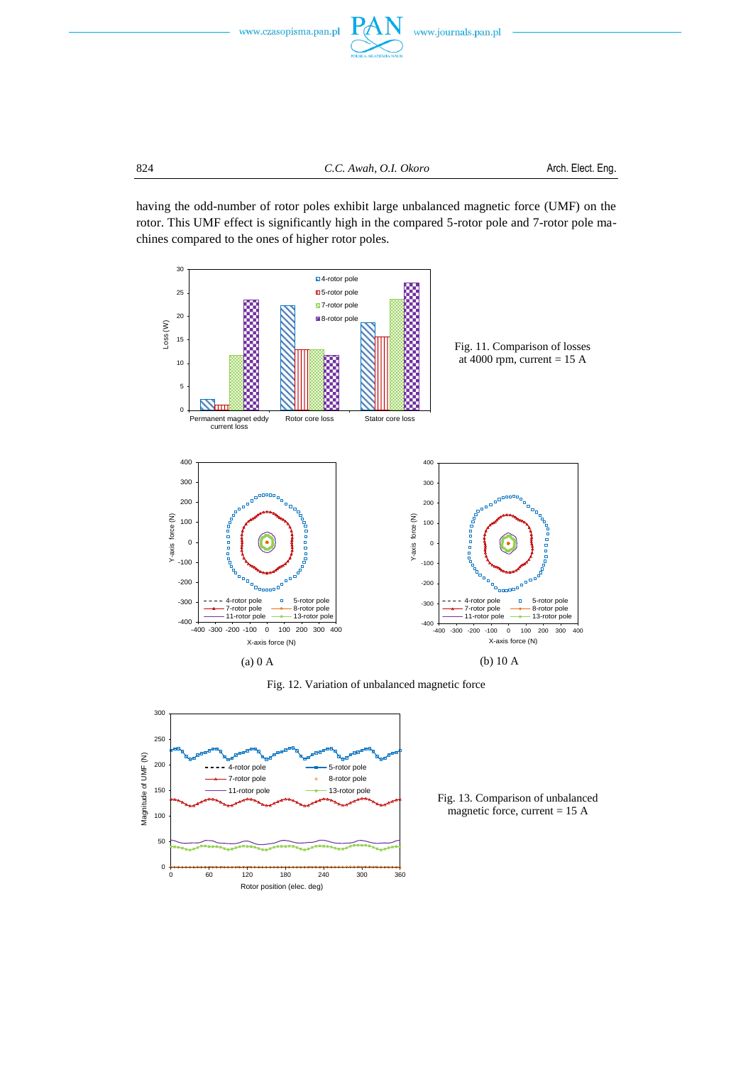



having the odd-number of rotor poles exhibit large unbalanced magnetic force (UMF) on the rotor. This UMF effect is significantly high in the compared 5-rotor pole and 7-rotor pole machines compared to the ones of higher rotor poles.



Fig. 12. Variation of unbalanced magnetic force



Fig. 13. Comparison of unbalanced magnetic force, current = 15 A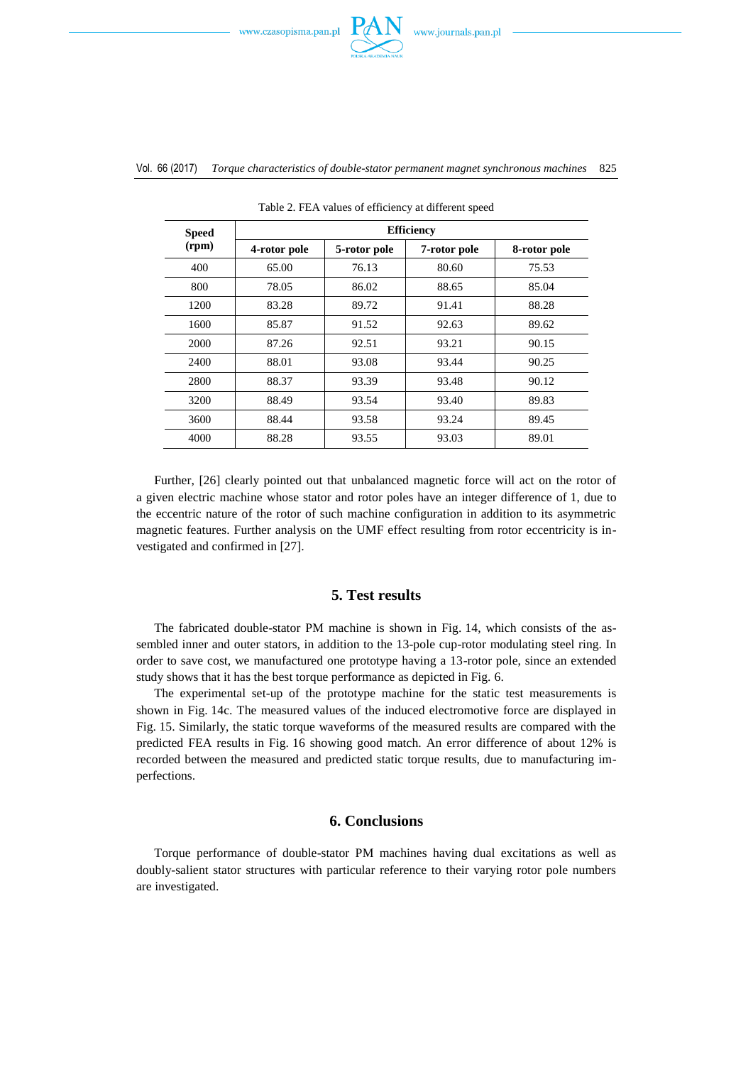

#### Vol. 66 (2017) *Torque characteristics of double-stator permanent magnet synchronous machines* 825

| <b>Speed</b><br>(rpm) | <b>Efficiency</b> |              |              |              |  |  |
|-----------------------|-------------------|--------------|--------------|--------------|--|--|
|                       | 4-rotor pole      | 5-rotor pole | 7-rotor pole | 8-rotor pole |  |  |
| 400                   | 65.00             | 76.13        | 80.60        | 75.53        |  |  |
| 800                   | 78.05             | 86.02        | 88.65        | 85.04        |  |  |
| 1200                  | 83.28             | 89.72        | 91.41        | 88.28        |  |  |
| 1600                  | 85.87             | 91.52        | 92.63        | 89.62        |  |  |
| 2000                  | 87.26             | 92.51        | 93.21        | 90.15        |  |  |
| 2400                  | 88.01             | 93.08        | 93.44        | 90.25        |  |  |
| 2800                  | 88.37             | 93.39        | 93.48        | 90.12        |  |  |
| 3200                  | 88.49             | 93.54        | 93.40        | 89.83        |  |  |
| 3600                  | 88.44             | 93.58        | 93.24        | 89.45        |  |  |
| 4000                  | 88.28             | 93.55        | 93.03        | 89.01        |  |  |

Table 2. FEA values of efficiency at different speed

Further, [26] clearly pointed out that unbalanced magnetic force will act on the rotor of a given electric machine whose stator and rotor poles have an integer difference of 1, due to the eccentric nature of the rotor of such machine configuration in addition to its asymmetric magnetic features. Further analysis on the UMF effect resulting from rotor eccentricity is investigated and confirmed in [27].

# **5. Test results**

The fabricated double-stator PM machine is shown in Fig. 14, which consists of the assembled inner and outer stators, in addition to the 13-pole cup-rotor modulating steel ring. In order to save cost, we manufactured one prototype having a 13-rotor pole, since an extended study shows that it has the best torque performance as depicted in Fig. 6.

The experimental set-up of the prototype machine for the static test measurements is shown in Fig. 14c. The measured values of the induced electromotive force are displayed in Fig. 15. Similarly, the static torque waveforms of the measured results are compared with the predicted FEA results in Fig. 16 showing good match. An error difference of about 12% is recorded between the measured and predicted static torque results, due to manufacturing imperfections.

## **6. Conclusions**

Torque performance of double-stator PM machines having dual excitations as well as doubly-salient stator structures with particular reference to their varying rotor pole numbers are investigated.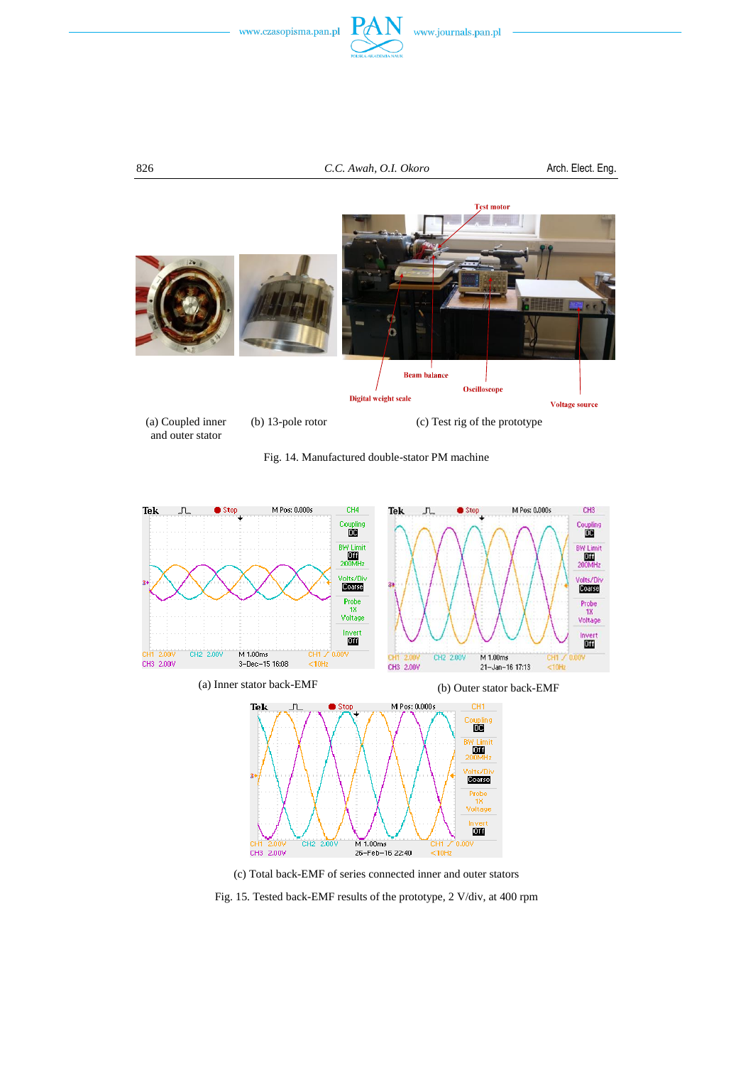







Fig. 14. Manufactured double-stator PM machine



(c) Total back-EMF of series connected inner and outer stators

Fig. 15. Tested back-EMF results of the prototype, 2 V/div, at 400 rpm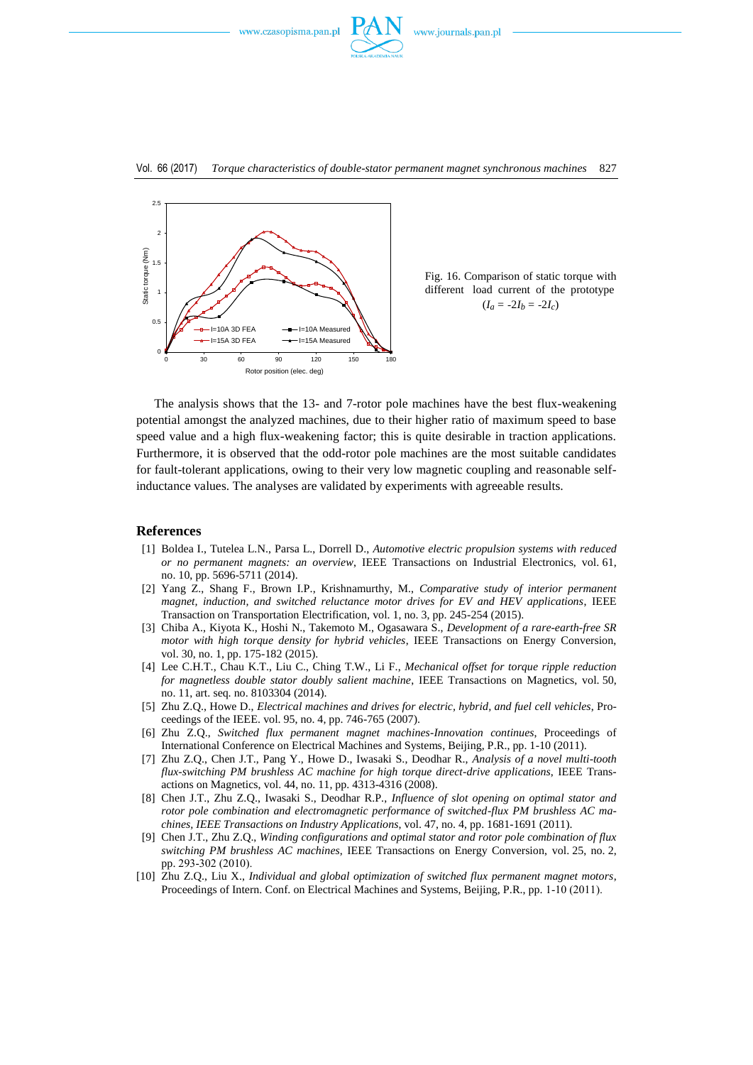





Fig. 16. Comparison of static torque with different load current of the prototype  $(I_a = -2I_b = -2I_c)$ 

The analysis shows that the 13- and 7-rotor pole machines have the best flux-weakening potential amongst the analyzed machines, due to their higher ratio of maximum speed to base speed value and a high flux-weakening factor; this is quite desirable in traction applications. Furthermore, it is observed that the odd-rotor pole machines are the most suitable candidates for fault-tolerant applications, owing to their very low magnetic coupling and reasonable selfinductance values. The analyses are validated by experiments with agreeable results.

#### **References**

- [1] Boldea I., Tutelea L.N., Parsa L., Dorrell D., *Automotive electric propulsion systems with reduced or no permanent magnets: an overview*, IEEE Transactions on Industrial Electronics, vol. 61, no. 10, pp. 5696-5711 (2014).
- [2] Yang Z., Shang F., Brown I.P., Krishnamurthy, M., *Comparative study of interior permanent magnet, induction, and switched reluctance motor drives for EV and HEV applications*, IEEE Transaction on Transportation Electrification, vol. 1, no. 3, pp. 245-254 (2015).
- [3] Chiba A., Kiyota K., Hoshi N., Takemoto M., Ogasawara S., *Development of a rare-earth-free SR motor with high torque density for hybrid vehicles*, IEEE Transactions on Energy Conversion, vol. 30, no. 1, pp. 175-182 (2015).
- [4] Lee C.H.T., Chau K.T., Liu C., Ching T.W., Li F., *Mechanical offset for torque ripple reduction for magnetless double stator doubly salient machine*, IEEE Transactions on Magnetics, vol. 50, no. 11, art. seq. no. 8103304 (2014).
- [5] Zhu Z.Q., Howe D., *Electrical machines and drives for electric, hybrid, and fuel cell vehicles*, Proceedings of the IEEE. vol. 95, no. 4, pp. 746-765 (2007).
- [6] Zhu Z.Q., *Switched flux permanent magnet machines-Innovation continues*, Proceedings of International Conference on Electrical Machines and Systems, Beijing, P.R., pp. 1-10 (2011).
- [7] Zhu Z.Q., Chen J.T., Pang Y., Howe D., Iwasaki S., Deodhar R., *Analysis of a novel multi-tooth flux-switching PM brushless AC machine for high torque direct-drive applications*, IEEE Transactions on Magnetics, vol. 44, no. 11, pp. 4313-4316 (2008).
- [8] Chen J.T., Zhu Z.Q., Iwasaki S., Deodhar R.P., *Influence of slot opening on optimal stator and rotor pole combination and electromagnetic performance of switched-flux PM brushless AC machines, IEEE Transactions on Industry Applications*, vol. 47, no. 4, pp. 1681-1691 (2011).
- [9] Chen J.T., Zhu Z.Q., *Winding configurations and optimal stator and rotor pole combination of flux switching PM brushless AC machines*, IEEE Transactions on Energy Conversion, vol. 25, no. 2, pp. 293-302 (2010).
- [10] Zhu Z.Q., Liu X., *Individual and global optimization of switched flux permanent magnet motors*, Proceedings of Intern. Conf. on Electrical Machines and Systems, Beijing, P.R., pp. 1-10 (2011).